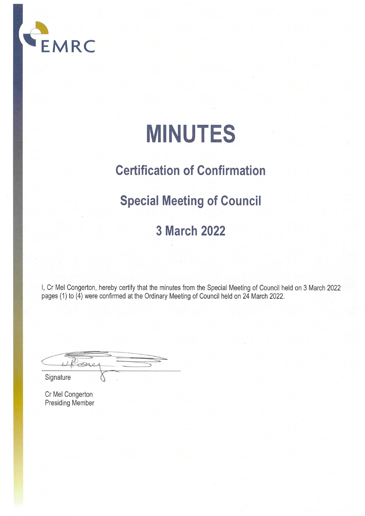

# **MINUTES**

## **Certification of Confirmation**

### **Special Meeting of Council**

### **3 March 2022**

I, Cr Mel Congerton, hereby certify that the minutes from the Special Meeting of Council held on 3 March 2022 pages (1) to (4) were confirmed at the Ordinary Meeting of Council held on 24 March 2022.

 $P_{C}$ 

Signature

Cr Mel Congerton Presiding Member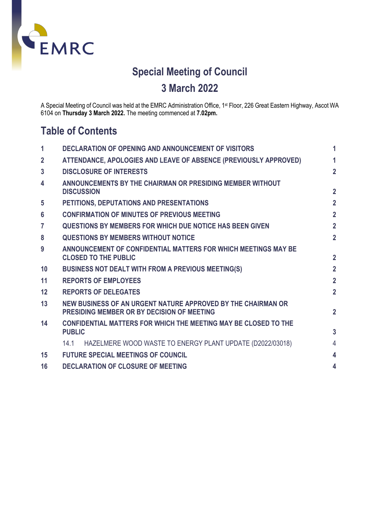

### **Special Meeting of Council 3 March 2022**

A Special Meeting of Council was held at the EMRC Administration Office, 1st Floor, 226 Great Eastern Highway, Ascot WA 6104 on **Thursday 3 March 2022.** The meeting commenced at **7.02pm.**

### **Table of Contents**

| 1              | <b>DECLARATION OF OPENING AND ANNOUNCEMENT OF VISITORS</b>                                                 | 1              |  |
|----------------|------------------------------------------------------------------------------------------------------------|----------------|--|
| $\overline{2}$ | ATTENDANCE, APOLOGIES AND LEAVE OF ABSENCE (PREVIOUSLY APPROVED)                                           | 1              |  |
| 3              | <b>DISCLOSURE OF INTERESTS</b>                                                                             | $\overline{2}$ |  |
| 4              | ANNOUNCEMENTS BY THE CHAIRMAN OR PRESIDING MEMBER WITHOUT<br><b>DISCUSSION</b>                             | $\overline{2}$ |  |
| 5              | PETITIONS, DEPUTATIONS AND PRESENTATIONS                                                                   | $\overline{2}$ |  |
| 6              | <b>CONFIRMATION OF MINUTES OF PREVIOUS MEETING</b>                                                         | $\overline{2}$ |  |
| $\overline{7}$ | <b>QUESTIONS BY MEMBERS FOR WHICH DUE NOTICE HAS BEEN GIVEN</b>                                            | $\overline{2}$ |  |
| 8              | <b>QUESTIONS BY MEMBERS WITHOUT NOTICE</b>                                                                 | $\overline{2}$ |  |
| 9              | ANNOUNCEMENT OF CONFIDENTIAL MATTERS FOR WHICH MEETINGS MAY BE<br><b>CLOSED TO THE PUBLIC</b>              | $\overline{2}$ |  |
| 10             | <b>BUSINESS NOT DEALT WITH FROM A PREVIOUS MEETING(S)</b>                                                  | $\overline{2}$ |  |
| 11             | <b>REPORTS OF EMPLOYEES</b>                                                                                | $\overline{2}$ |  |
| 12             | <b>REPORTS OF DELEGATES</b>                                                                                | $\overline{2}$ |  |
| 13             | NEW BUSINESS OF AN URGENT NATURE APPROVED BY THE CHAIRMAN OR<br>PRESIDING MEMBER OR BY DECISION OF MEETING |                |  |
| 14             | <b>CONFIDENTIAL MATTERS FOR WHICH THE MEETING MAY BE CLOSED TO THE</b><br><b>PUBLIC</b>                    | $\overline{3}$ |  |
|                | HAZELMERE WOOD WASTE TO ENERGY PLANT UPDATE (D2022/03018)<br>14.1                                          | $\overline{4}$ |  |
| 15             | <b>FUTURE SPECIAL MEETINGS OF COUNCIL</b>                                                                  | 4              |  |
| 16             | <b>DECLARATION OF CLOSURE OF MEETING</b><br>4                                                              |                |  |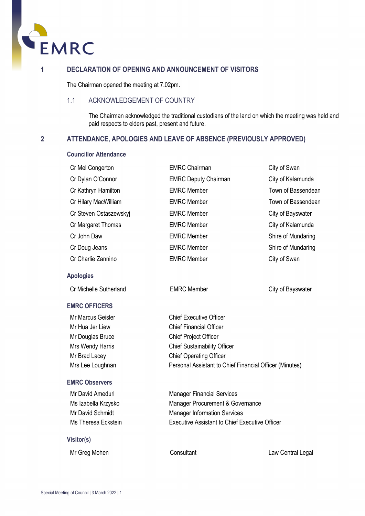

#### <span id="page-2-0"></span>**1 DECLARATION OF OPENING AND ANNOUNCEMENT OF VISITORS**

The Chairman opened the meeting at 7.02pm.

#### 1.1 ACKNOWLEDGEMENT OF COUNTRY

The Chairman acknowledged the traditional custodians of the land on which the meeting was held and paid respects to elders past, present and future.

#### <span id="page-2-1"></span>**2 ATTENDANCE, APOLOGIES AND LEAVE OF ABSENCE (PREVIOUSLY APPROVED)**

#### **Councillor Attendance**

| Cr Mel Congerton       | <b>EMRC Chairman</b>        | City of Swan       |
|------------------------|-----------------------------|--------------------|
| Cr Dylan O'Connor      | <b>EMRC Deputy Chairman</b> | City of Kalamunda  |
| Cr Kathryn Hamilton    | <b>EMRC Member</b>          | Town of Bassendean |
| Cr Hilary MacWilliam   | <b>EMRC Member</b>          | Town of Bassendean |
| Cr Steven Ostaszewskyj | <b>EMRC Member</b>          | City of Bayswater  |
| Cr Margaret Thomas     | <b>EMRC Member</b>          | City of Kalamunda  |
| Cr John Daw            | <b>EMRC Member</b>          | Shire of Mundaring |
| Cr Doug Jeans          | <b>EMRC Member</b>          | Shire of Mundaring |
| Cr Charlie Zannino     | <b>EMRC Member</b>          | City of Swan       |
|                        |                             |                    |

#### **Apologies**

Cr Michelle Sutherland EMRC Member City of Bayswater

#### **EMRC OFFICERS**

Mr Douglas Bruce Chief Project Officer

#### **EMRC Observers**

#### **Visitor(s)**

Mr Marcus Geisler Chief Executive Officer Mr Hua Jer Liew Chief Financial Officer Mrs Wendy Harris **Chief Sustainability Officer** Mr Brad Lacey Chief Operating Officer Mrs Lee Loughnan Personal Assistant to Chief Financial Officer (Minutes)

Mr David Ameduri **Manager Financial Services** Ms Izabella Krzysko Manager Procurement & Governance Mr David Schmidt Manager Information Services Ms Theresa Eckstein Executive Assistant to Chief Executive Officer

Mr Greg Mohen Consultant Consultant Law Central Legal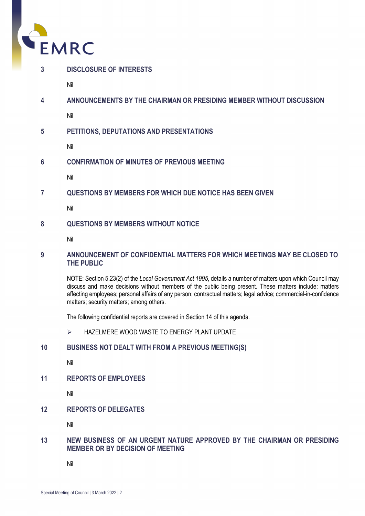

<span id="page-3-0"></span>

Nil

<span id="page-3-1"></span>**4 ANNOUNCEMENTS BY THE CHAIRMAN OR PRESIDING MEMBER WITHOUT DISCUSSION**

Nil

<span id="page-3-2"></span>**5 PETITIONS, DEPUTATIONS AND PRESENTATIONS**

Nil

<span id="page-3-3"></span>**6 CONFIRMATION OF MINUTES OF PREVIOUS MEETING**

Nil

<span id="page-3-4"></span>**7 QUESTIONS BY MEMBERS FOR WHICH DUE NOTICE HAS BEEN GIVEN**

Nil

### <span id="page-3-5"></span>**8 QUESTIONS BY MEMBERS WITHOUT NOTICE**

Nil

#### <span id="page-3-6"></span>**9 ANNOUNCEMENT OF CONFIDENTIAL MATTERS FOR WHICH MEETINGS MAY BE CLOSED TO THE PUBLIC**

NOTE: Section 5.23(2) of the *Local Government Act 1995*, details a number of matters upon which Council may discuss and make decisions without members of the public being present. These matters include: matters affecting employees; personal affairs of any person; contractual matters; legal advice; commercial-in-confidence matters; security matters; among others.

The following confidential reports are covered in Section 14 of this agenda.

> HAZELMERE WOOD WASTE TO ENERGY PLANT UPDATE

### <span id="page-3-7"></span>**10 BUSINESS NOT DEALT WITH FROM A PREVIOUS MEETING(S)**

Nil

<span id="page-3-8"></span>**11 REPORTS OF EMPLOYEES**

Nil

### <span id="page-3-9"></span>**12 REPORTS OF DELEGATES**

Nil

#### <span id="page-3-10"></span>**13 NEW BUSINESS OF AN URGENT NATURE APPROVED BY THE CHAIRMAN OR PRESIDING MEMBER OR BY DECISION OF MEETING**

Nil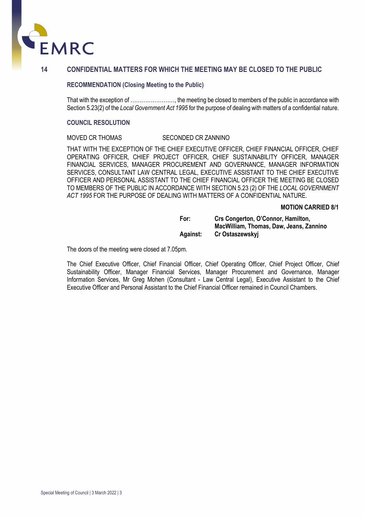

#### <span id="page-4-0"></span>**14 CONFIDENTIAL MATTERS FOR WHICH THE MEETING MAY BE CLOSED TO THE PUBLIC**

#### **RECOMMENDATION (Closing Meeting to the Public)**

That with the exception of ……………………, the meeting be closed to members of the public in accordance with Section 5.23(2) of the *Local Government Act 1995* for the purpose of dealing with matters of a confidential nature.

#### **COUNCIL RESOLUTION**

#### MOVED CR THOMAS SECONDED CR ZANNINO

THAT WITH THE EXCEPTION OF THE CHIEF EXECUTIVE OFFICER, CHIEF FINANCIAL OFFICER, CHIEF OPERATING OFFICER, CHIEF PROJECT OFFICER, CHIEF SUSTAINABILITY OFFICER, MANAGER FINANCIAL SERVICES, MANAGER PROCUREMENT AND GOVERNANCE, MANAGER INFORMATION SERVICES, CONSULTANT LAW CENTRAL LEGAL, EXECUTIVE ASSISTANT TO THE CHIEF EXECUTIVE OFFICER AND PERSONAL ASSISTANT TO THE CHIEF FINANCIAL OFFICER THE MEETING BE CLOSED TO MEMBERS OF THE PUBLIC IN ACCORDANCE WITH SECTION 5.23 (2) OF THE *LOCAL GOVERNMENT ACT 1995* FOR THE PURPOSE OF DEALING WITH MATTERS OF A CONFIDENTIAL NATURE.

#### **MOTION CARRIED 8/1**

| For:            | Crs Congerton, O'Connor, Hamilton,      |
|-----------------|-----------------------------------------|
|                 | MacWilliam, Thomas, Daw, Jeans, Zannino |
| <b>Against:</b> | Cr Ostaszewskyj                         |

The doors of the meeting were closed at 7.05pm.

The Chief Executive Officer, Chief Financial Officer, Chief Operating Officer, Chief Project Officer, Chief Sustainability Officer, Manager Financial Services, Manager Procurement and Governance, Manager Information Services, Mr Greg Mohen (Consultant - Law Central Legal), Executive Assistant to the Chief Executive Officer and Personal Assistant to the Chief Financial Officer remained in Council Chambers.